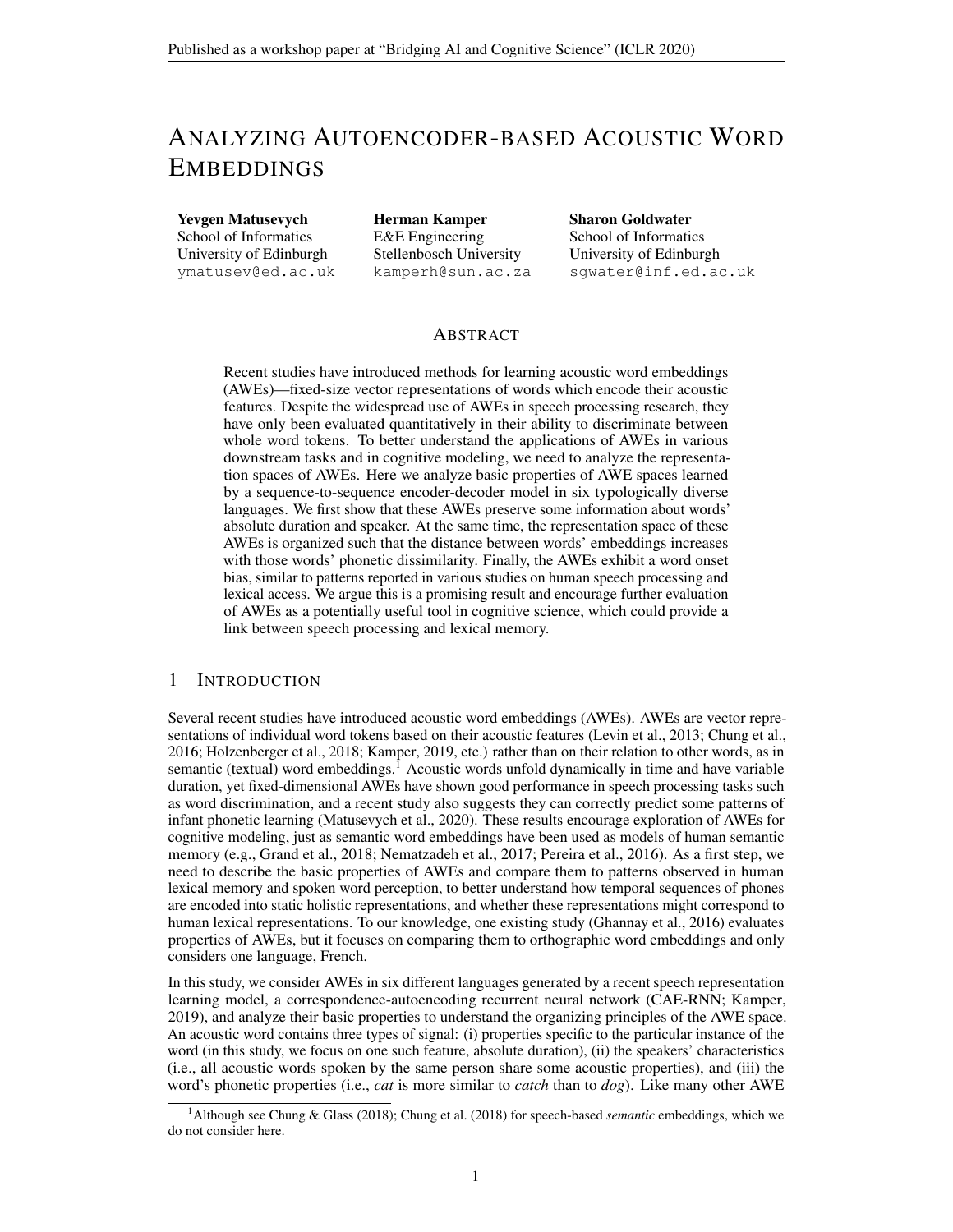# ANALYZING AUTOENCODER-BASED ACOUSTIC WORD EMBEDDINGS

Yevgen Matusevych School of Informatics University of Edinburgh ymatusev@ed.ac.uk

Herman Kamper E&E Engineering Stellenbosch University kamperh@sun.ac.za Sharon Goldwater School of Informatics University of Edinburgh sgwater@inf.ed.ac.uk

## ABSTRACT

Recent studies have introduced methods for learning acoustic word embeddings (AWEs)—fixed-size vector representations of words which encode their acoustic features. Despite the widespread use of AWEs in speech processing research, they have only been evaluated quantitatively in their ability to discriminate between whole word tokens. To better understand the applications of AWEs in various downstream tasks and in cognitive modeling, we need to analyze the representation spaces of AWEs. Here we analyze basic properties of AWE spaces learned by a sequence-to-sequence encoder-decoder model in six typologically diverse languages. We first show that these AWEs preserve some information about words' absolute duration and speaker. At the same time, the representation space of these AWEs is organized such that the distance between words' embeddings increases with those words' phonetic dissimilarity. Finally, the AWEs exhibit a word onset bias, similar to patterns reported in various studies on human speech processing and lexical access. We argue this is a promising result and encourage further evaluation of AWEs as a potentially useful tool in cognitive science, which could provide a link between speech processing and lexical memory.

#### 1 INTRODUCTION

Several recent studies have introduced acoustic word embeddings (AWEs). AWEs are vector representations of individual word tokens based on their acoustic features [\(Levin et al., 2013;](#page-5-0) [Chung et al.,](#page-4-0) [2016;](#page-4-0) [Holzenberger et al., 2018;](#page-4-1) [Kamper, 2019,](#page-4-2) etc.) rather than on their relation to other words, as in semantic (textual) word embeddings.<sup>[1](#page-0-0)</sup> Acoustic words unfold dynamically in time and have variable duration, yet fixed-dimensional AWEs have shown good performance in speech processing tasks such as word discrimination, and a recent study also suggests they can correctly predict some patterns of infant phonetic learning [\(Matusevych et al., 2020\)](#page-5-1). These results encourage exploration of AWEs for cognitive modeling, just as semantic word embeddings have been used as models of human semantic memory (e.g., [Grand et al., 2018;](#page-4-3) [Nematzadeh et al., 2017;](#page-5-2) [Pereira et al., 2016\)](#page-5-3). As a first step, we need to describe the basic properties of AWEs and compare them to patterns observed in human lexical memory and spoken word perception, to better understand how temporal sequences of phones are encoded into static holistic representations, and whether these representations might correspond to human lexical representations. To our knowledge, one existing study [\(Ghannay et al., 2016\)](#page-4-4) evaluates properties of AWEs, but it focuses on comparing them to orthographic word embeddings and only considers one language, French.

In this study, we consider AWEs in six different languages generated by a recent speech representation learning model, a correspondence-autoencoding recurrent neural network (CAE-RNN; [Kamper,](#page-4-2) [2019\)](#page-4-2), and analyze their basic properties to understand the organizing principles of the AWE space. An acoustic word contains three types of signal: (i) properties specific to the particular instance of the word (in this study, we focus on one such feature, absolute duration), (ii) the speakers' characteristics (i.e., all acoustic words spoken by the same person share some acoustic properties), and (iii) the word's phonetic properties (i.e., *cat* is more similar to *catch* than to *dog*). Like many other AWE

<span id="page-0-0"></span><sup>1</sup>Although see [Chung & Glass](#page-4-5) [\(2018\)](#page-4-5); [Chung et al.](#page-4-6) [\(2018\)](#page-4-6) for speech-based *semantic* embeddings, which we do not consider here.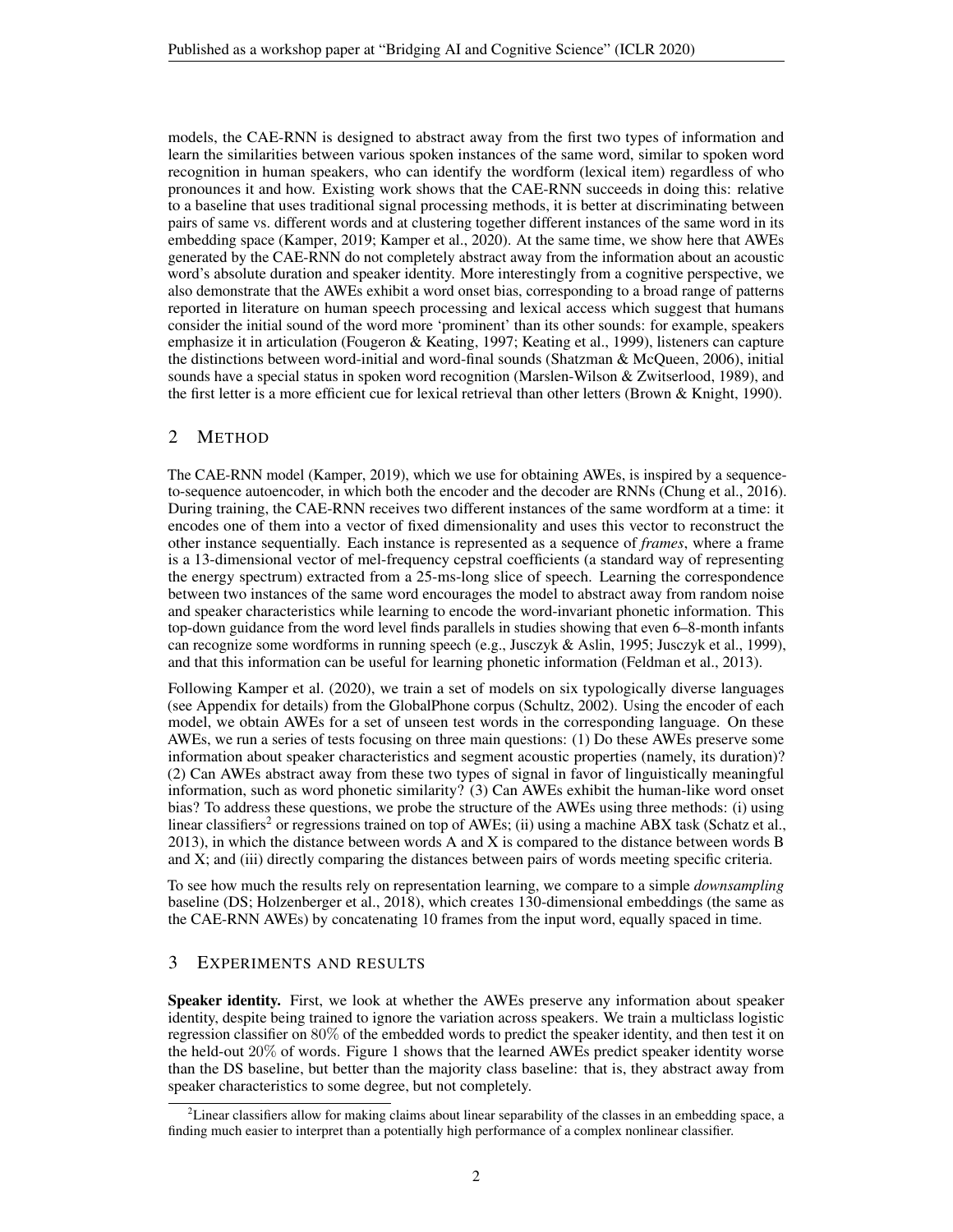models, the CAE-RNN is designed to abstract away from the first two types of information and learn the similarities between various spoken instances of the same word, similar to spoken word recognition in human speakers, who can identify the wordform (lexical item) regardless of who pronounces it and how. Existing work shows that the CAE-RNN succeeds in doing this: relative to a baseline that uses traditional signal processing methods, it is better at discriminating between pairs of same vs. different words and at clustering together different instances of the same word in its embedding space [\(Kamper, 2019;](#page-4-2) [Kamper et al., 2020\)](#page-4-7). At the same time, we show here that AWEs generated by the CAE-RNN do not completely abstract away from the information about an acoustic word's absolute duration and speaker identity. More interestingly from a cognitive perspective, we also demonstrate that the AWEs exhibit a word onset bias, corresponding to a broad range of patterns reported in literature on human speech processing and lexical access which suggest that humans consider the initial sound of the word more 'prominent' than its other sounds: for example, speakers emphasize it in articulation [\(Fougeron & Keating, 1997;](#page-4-8) [Keating et al., 1999\)](#page-5-4), listeners can capture the distinctions between word-initial and word-final sounds [\(Shatzman & McQueen, 2006\)](#page-5-5), initial sounds have a special status in spoken word recognition (Marslen-Wilson  $& Zwitserlood, 1989$ ), and the first letter is a more efficient cue for lexical retrieval than other letters [\(Brown & Knight, 1990\)](#page-4-9).

### 2 METHOD

The CAE-RNN model [\(Kamper, 2019\)](#page-4-2), which we use for obtaining AWEs, is inspired by a sequenceto-sequence autoencoder, in which both the encoder and the decoder are RNNs [\(Chung et al., 2016\)](#page-4-0). During training, the CAE-RNN receives two different instances of the same wordform at a time: it encodes one of them into a vector of fixed dimensionality and uses this vector to reconstruct the other instance sequentially. Each instance is represented as a sequence of *frames*, where a frame is a 13-dimensional vector of mel-frequency cepstral coefficients (a standard way of representing the energy spectrum) extracted from a 25-ms-long slice of speech. Learning the correspondence between two instances of the same word encourages the model to abstract away from random noise and speaker characteristics while learning to encode the word-invariant phonetic information. This top-down guidance from the word level finds parallels in studies showing that even 6–8-month infants can recognize some wordforms in running speech (e.g., [Jusczyk & Aslin, 1995;](#page-4-10) [Jusczyk et al., 1999\)](#page-4-11), and that this information can be useful for learning phonetic information [\(Feldman et al., 2013\)](#page-4-12).

Following [Kamper et al.](#page-4-7) [\(2020\)](#page-4-7), we train a set of models on six typologically diverse languages (see Appendix for details) from the GlobalPhone corpus [\(Schultz, 2002\)](#page-5-7). Using the encoder of each model, we obtain AWEs for a set of unseen test words in the corresponding language. On these AWEs, we run a series of tests focusing on three main questions: (1) Do these AWEs preserve some information about speaker characteristics and segment acoustic properties (namely, its duration)? (2) Can AWEs abstract away from these two types of signal in favor of linguistically meaningful information, such as word phonetic similarity? (3) Can AWEs exhibit the human-like word onset bias? To address these questions, we probe the structure of the AWEs using three methods: (i) using linear classifiers<sup>[2](#page-1-0)</sup> or regressions trained on top of AWEs; (ii) using a machine ABX task [\(Schatz et al.,](#page-5-8) [2013\)](#page-5-8), in which the distance between words A and X is compared to the distance between words B and X; and (iii) directly comparing the distances between pairs of words meeting specific criteria.

To see how much the results rely on representation learning, we compare to a simple *downsampling* baseline (DS; [Holzenberger et al., 2018\)](#page-4-1), which creates 130-dimensional embeddings (the same as the CAE-RNN AWEs) by concatenating 10 frames from the input word, equally spaced in time.

## 3 EXPERIMENTS AND RESULTS

Speaker identity. First, we look at whether the AWEs preserve any information about speaker identity, despite being trained to ignore the variation across speakers. We train a multiclass logistic regression classifier on 80% of the embedded words to predict the speaker identity, and then test it on the held-out 20% of words. Figure [1](#page-2-0) shows that the learned AWEs predict speaker identity worse than the DS baseline, but better than the majority class baseline: that is, they abstract away from speaker characteristics to some degree, but not completely.

<span id="page-1-0"></span><sup>&</sup>lt;sup>2</sup> Linear classifiers allow for making claims about linear separability of the classes in an embedding space, a finding much easier to interpret than a potentially high performance of a complex nonlinear classifier.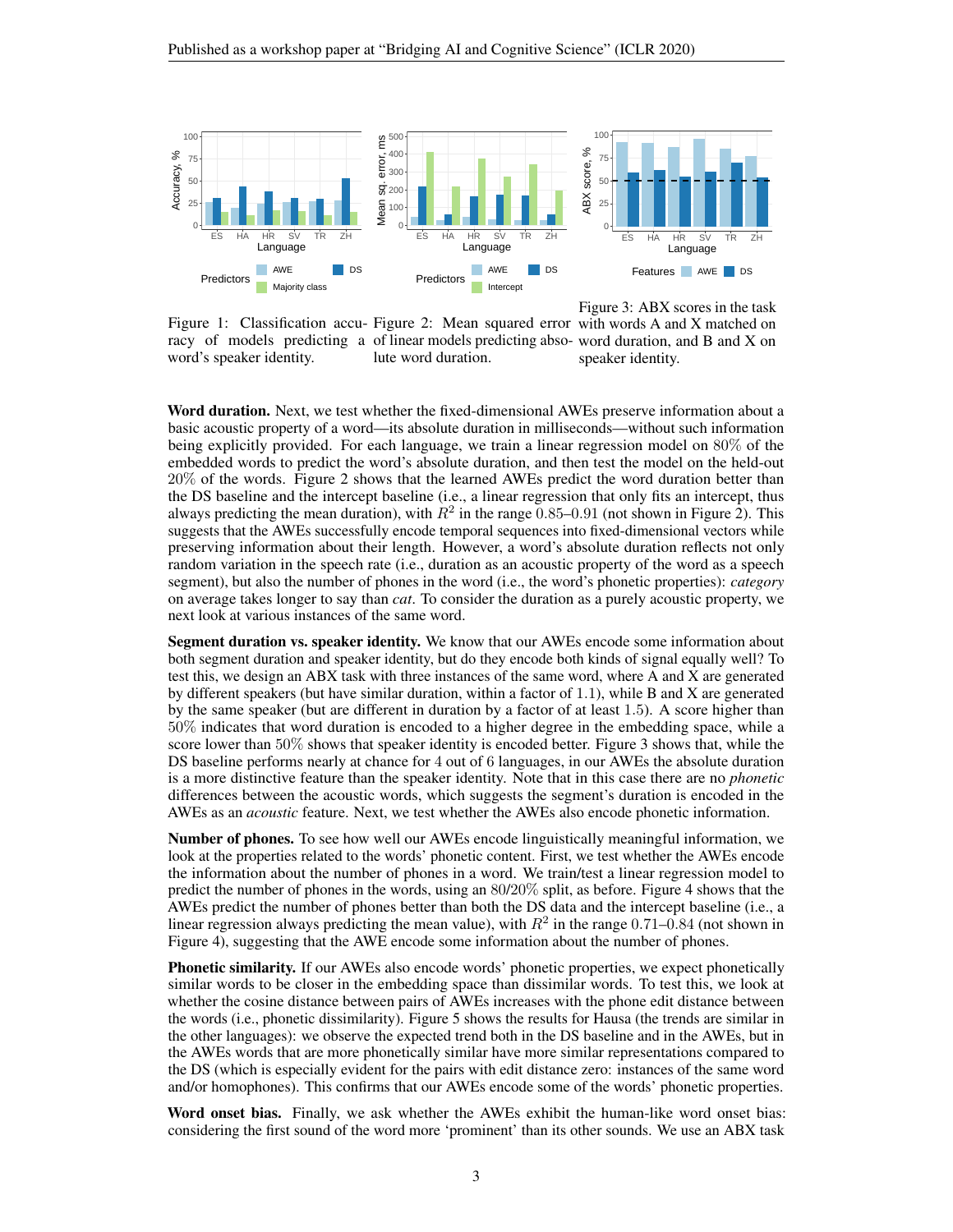<span id="page-2-0"></span>

Figure 1: Classification accu-Figure 2: Mean squared error with words A and X matched on racy of models predicting a of linear models predicting abso-word duration, and B and X on word's speaker identity. lute word duration.

Figure 3: ABX scores in the task speaker identity.

Word duration. Next, we test whether the fixed-dimensional AWEs preserve information about a basic acoustic property of a word—its absolute duration in milliseconds—without such information being explicitly provided. For each language, we train a linear regression model on 80% of the embedded words to predict the word's absolute duration, and then test the model on the held-out 20% of the words. Figure [2](#page-2-0) shows that the learned AWEs predict the word duration better than the DS baseline and the intercept baseline (i.e., a linear regression that only fits an intercept, thus always predicting the mean duration), with  $R^2$  in the range 0.85–0.91 (not shown in Figure [2\)](#page-2-0). This suggests that the AWEs successfully encode temporal sequences into fixed-dimensional vectors while preserving information about their length. However, a word's absolute duration reflects not only random variation in the speech rate (i.e., duration as an acoustic property of the word as a speech segment), but also the number of phones in the word (i.e., the word's phonetic properties): *category* on average takes longer to say than *cat*. To consider the duration as a purely acoustic property, we next look at various instances of the same word.

Segment duration vs. speaker identity. We know that our AWEs encode some information about both segment duration and speaker identity, but do they encode both kinds of signal equally well? To test this, we design an ABX task with three instances of the same word, where A and X are generated by different speakers (but have similar duration, within a factor of 1.1), while B and X are generated by the same speaker (but are different in duration by a factor of at least 1.5). A score higher than 50% indicates that word duration is encoded to a higher degree in the embedding space, while a score lower than 50% shows that speaker identity is encoded better. Figure [3](#page-2-0) shows that, while the DS baseline performs nearly at chance for 4 out of 6 languages, in our AWEs the absolute duration is a more distinctive feature than the speaker identity. Note that in this case there are no *phonetic* differences between the acoustic words, which suggests the segment's duration is encoded in the AWEs as an *acoustic* feature. Next, we test whether the AWEs also encode phonetic information.

Number of phones. To see how well our AWEs encode linguistically meaningful information, we look at the properties related to the words' phonetic content. First, we test whether the AWEs encode the information about the number of phones in a word. We train/test a linear regression model to predict the number of phones in the words, using an 80/20% split, as before. Figure [4](#page-3-0) shows that the AWEs predict the number of phones better than both the DS data and the intercept baseline (i.e., a linear regression always predicting the mean value), with  $R^2$  in the range 0.71–0.84 (not shown in Figure [4\)](#page-3-0), suggesting that the AWE encode some information about the number of phones.

Phonetic similarity. If our AWEs also encode words' phonetic properties, we expect phonetically similar words to be closer in the embedding space than dissimilar words. To test this, we look at whether the cosine distance between pairs of AWEs increases with the phone edit distance between the words (i.e., phonetic dissimilarity). Figure [5](#page-3-0) shows the results for Hausa (the trends are similar in the other languages): we observe the expected trend both in the DS baseline and in the AWEs, but in the AWEs words that are more phonetically similar have more similar representations compared to the DS (which is especially evident for the pairs with edit distance zero: instances of the same word and/or homophones). This confirms that our AWEs encode some of the words' phonetic properties.

Word onset bias. Finally, we ask whether the AWEs exhibit the human-like word onset bias: considering the first sound of the word more 'prominent' than its other sounds. We use an ABX task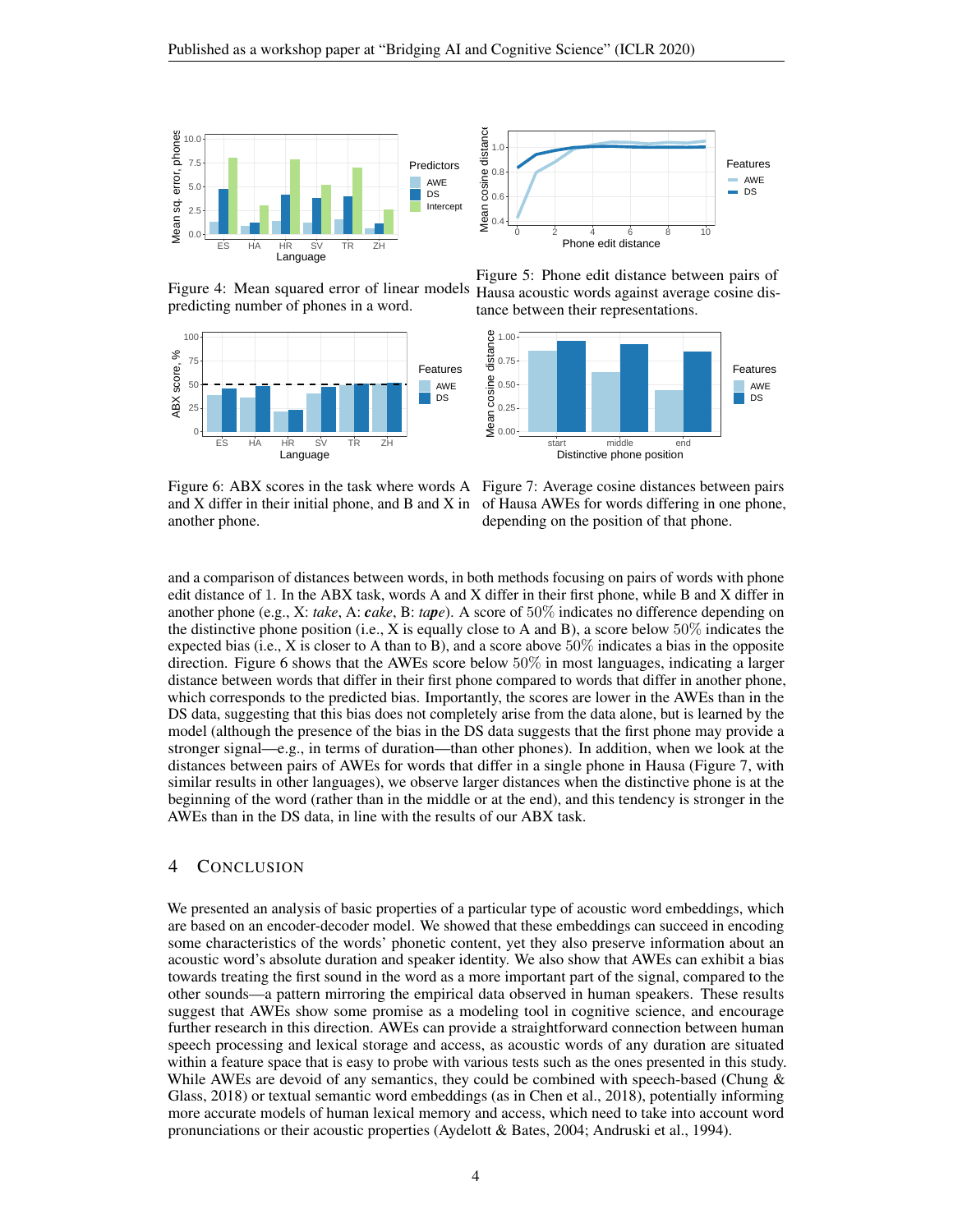<span id="page-3-0"></span>

Figure 4: Mean squared error of linear models predicting number of phones in a word.

<span id="page-3-1"></span>



Figure 5: Phone edit distance between pairs of Hausa acoustic words against average cosine distance between their representations.



and X differ in their initial phone, and B and X in of Hausa AWEs for words differing in one phone, another phone.

Figure 6: ABX scores in the task where words A Figure 7: Average cosine distances between pairs depending on the position of that phone.

and a comparison of distances between words, in both methods focusing on pairs of words with phone edit distance of 1. In the ABX task, words A and X differ in their first phone, while B and X differ in another phone (e.g., X: *take*, A: *cake*, B: *tape*). A score of 50% indicates no difference depending on the distinctive phone position (i.e., X is equally close to A and B), a score below  $50\%$  indicates the expected bias (i.e., X is closer to A than to B), and a score above  $50\%$  indicates a bias in the opposite direction. Figure [6](#page-3-1) shows that the AWEs score below 50% in most languages, indicating a larger distance between words that differ in their first phone compared to words that differ in another phone, which corresponds to the predicted bias. Importantly, the scores are lower in the AWEs than in the DS data, suggesting that this bias does not completely arise from the data alone, but is learned by the model (although the presence of the bias in the DS data suggests that the first phone may provide a stronger signal—e.g., in terms of duration—than other phones). In addition, when we look at the distances between pairs of AWEs for words that differ in a single phone in Hausa (Figure [7,](#page-3-1) with similar results in other languages), we observe larger distances when the distinctive phone is at the beginning of the word (rather than in the middle or at the end), and this tendency is stronger in the AWEs than in the DS data, in line with the results of our ABX task.

#### 4 CONCLUSION

We presented an analysis of basic properties of a particular type of acoustic word embeddings, which are based on an encoder-decoder model. We showed that these embeddings can succeed in encoding some characteristics of the words' phonetic content, yet they also preserve information about an acoustic word's absolute duration and speaker identity. We also show that AWEs can exhibit a bias towards treating the first sound in the word as a more important part of the signal, compared to the other sounds—a pattern mirroring the empirical data observed in human speakers. These results suggest that AWEs show some promise as a modeling tool in cognitive science, and encourage further research in this direction. AWEs can provide a straightforward connection between human speech processing and lexical storage and access, as acoustic words of any duration are situated within a feature space that is easy to probe with various tests such as the ones presented in this study. While AWEs are devoid of any semantics, they could be combined with speech-based (Chung  $\&$ [Glass, 2018\)](#page-4-5) or textual semantic word embeddings (as in [Chen et al., 2018\)](#page-4-13), potentially informing more accurate models of human lexical memory and access, which need to take into account word pronunciations or their acoustic properties [\(Aydelott & Bates, 2004;](#page-4-14) [Andruski et al., 1994\)](#page-4-15).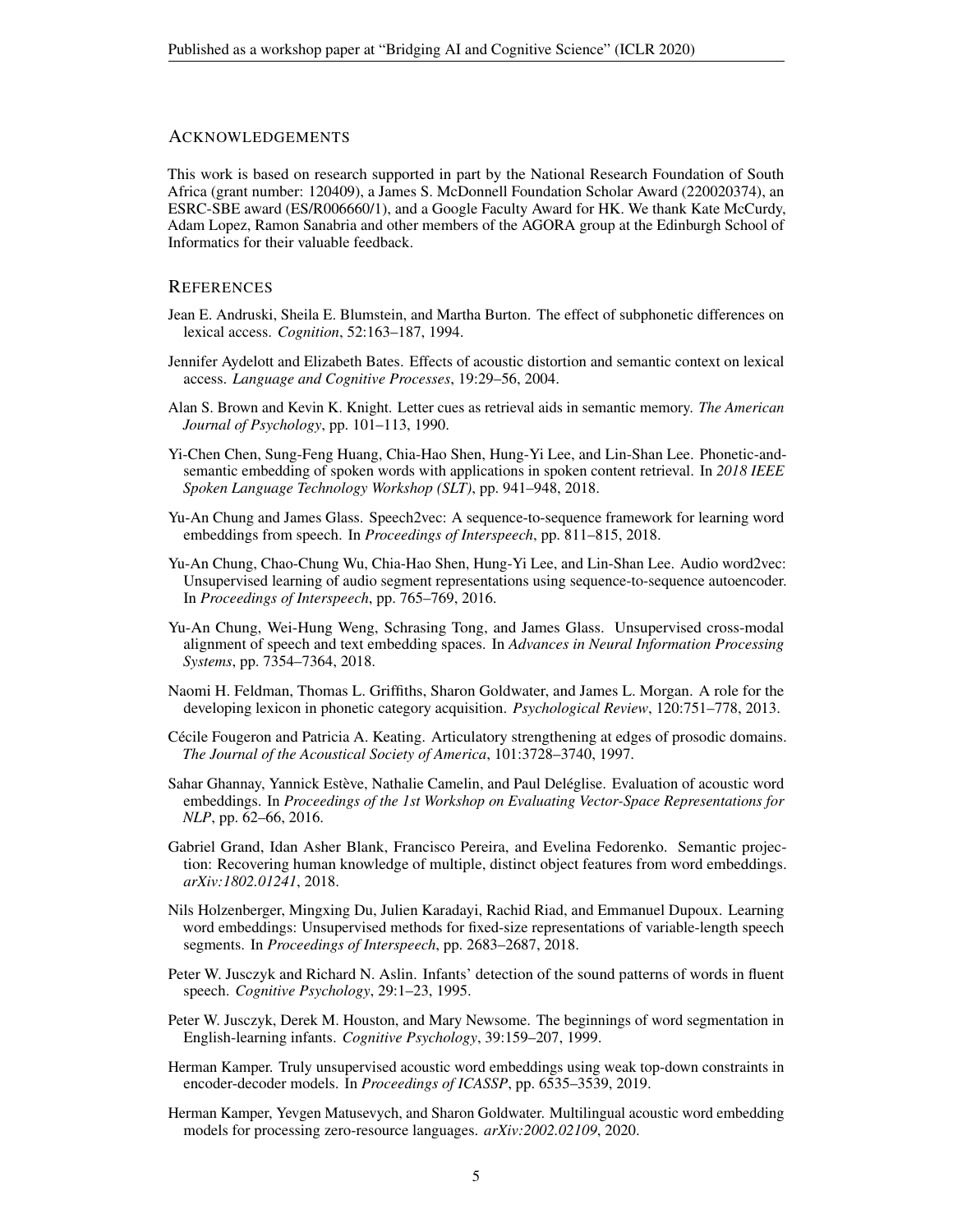#### ACKNOWLEDGEMENTS

This work is based on research supported in part by the National Research Foundation of South Africa (grant number: 120409), a James S. McDonnell Foundation Scholar Award (220020374), an ESRC-SBE award (ES/R006660/1), and a Google Faculty Award for HK. We thank Kate McCurdy, Adam Lopez, Ramon Sanabria and other members of the AGORA group at the Edinburgh School of Informatics for their valuable feedback.

#### **REFERENCES**

- <span id="page-4-15"></span>Jean E. Andruski, Sheila E. Blumstein, and Martha Burton. The effect of subphonetic differences on lexical access. *Cognition*, 52:163–187, 1994.
- <span id="page-4-14"></span>Jennifer Aydelott and Elizabeth Bates. Effects of acoustic distortion and semantic context on lexical access. *Language and Cognitive Processes*, 19:29–56, 2004.
- <span id="page-4-9"></span>Alan S. Brown and Kevin K. Knight. Letter cues as retrieval aids in semantic memory. *The American Journal of Psychology*, pp. 101–113, 1990.
- <span id="page-4-13"></span>Yi-Chen Chen, Sung-Feng Huang, Chia-Hao Shen, Hung-Yi Lee, and Lin-Shan Lee. Phonetic-andsemantic embedding of spoken words with applications in spoken content retrieval. In *2018 IEEE Spoken Language Technology Workshop (SLT)*, pp. 941–948, 2018.
- <span id="page-4-5"></span>Yu-An Chung and James Glass. Speech2vec: A sequence-to-sequence framework for learning word embeddings from speech. In *Proceedings of Interspeech*, pp. 811–815, 2018.
- <span id="page-4-0"></span>Yu-An Chung, Chao-Chung Wu, Chia-Hao Shen, Hung-Yi Lee, and Lin-Shan Lee. Audio word2vec: Unsupervised learning of audio segment representations using sequence-to-sequence autoencoder. In *Proceedings of Interspeech*, pp. 765–769, 2016.
- <span id="page-4-6"></span>Yu-An Chung, Wei-Hung Weng, Schrasing Tong, and James Glass. Unsupervised cross-modal alignment of speech and text embedding spaces. In *Advances in Neural Information Processing Systems*, pp. 7354–7364, 2018.
- <span id="page-4-12"></span>Naomi H. Feldman, Thomas L. Griffiths, Sharon Goldwater, and James L. Morgan. A role for the developing lexicon in phonetic category acquisition. *Psychological Review*, 120:751–778, 2013.
- <span id="page-4-8"></span>Cécile Fougeron and Patricia A. Keating. Articulatory strengthening at edges of prosodic domains. *The Journal of the Acoustical Society of America*, 101:3728–3740, 1997.
- <span id="page-4-4"></span>Sahar Ghannay, Yannick Estève, Nathalie Camelin, and Paul Deléglise. Evaluation of acoustic word embeddings. In *Proceedings of the 1st Workshop on Evaluating Vector-Space Representations for NLP*, pp. 62–66, 2016.
- <span id="page-4-3"></span>Gabriel Grand, Idan Asher Blank, Francisco Pereira, and Evelina Fedorenko. Semantic projection: Recovering human knowledge of multiple, distinct object features from word embeddings. *arXiv:1802.01241*, 2018.
- <span id="page-4-1"></span>Nils Holzenberger, Mingxing Du, Julien Karadayi, Rachid Riad, and Emmanuel Dupoux. Learning word embeddings: Unsupervised methods for fixed-size representations of variable-length speech segments. In *Proceedings of Interspeech*, pp. 2683–2687, 2018.
- <span id="page-4-10"></span>Peter W. Jusczyk and Richard N. Aslin. Infants' detection of the sound patterns of words in fluent speech. *Cognitive Psychology*, 29:1–23, 1995.
- <span id="page-4-11"></span>Peter W. Jusczyk, Derek M. Houston, and Mary Newsome. The beginnings of word segmentation in English-learning infants. *Cognitive Psychology*, 39:159–207, 1999.
- <span id="page-4-2"></span>Herman Kamper. Truly unsupervised acoustic word embeddings using weak top-down constraints in encoder-decoder models. In *Proceedings of ICASSP*, pp. 6535–3539, 2019.
- <span id="page-4-7"></span>Herman Kamper, Yevgen Matusevych, and Sharon Goldwater. Multilingual acoustic word embedding models for processing zero-resource languages. *arXiv:2002.02109*, 2020.